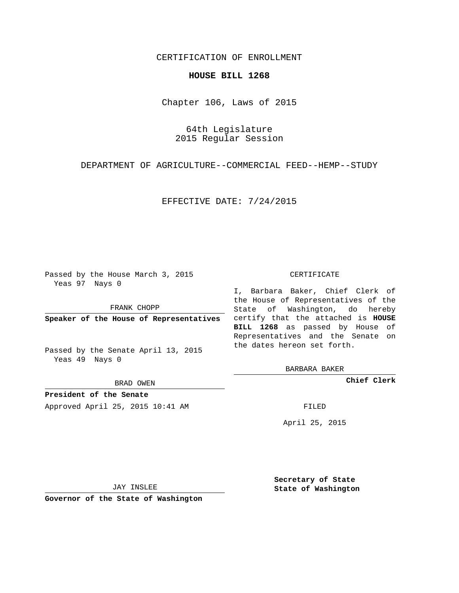# CERTIFICATION OF ENROLLMENT

### **HOUSE BILL 1268**

Chapter 106, Laws of 2015

64th Legislature 2015 Regular Session

DEPARTMENT OF AGRICULTURE--COMMERCIAL FEED--HEMP--STUDY

### EFFECTIVE DATE: 7/24/2015

Passed by the House March 3, 2015 Yeas 97 Nays 0

FRANK CHOPP

Passed by the Senate April 13, 2015 Yeas 49 Nays 0

BRAD OWEN

**President of the Senate**

Approved April 25, 2015 10:41 AM FILED

#### CERTIFICATE

**Speaker of the House of Representatives** certify that the attached is **HOUSE** I, Barbara Baker, Chief Clerk of the House of Representatives of the State of Washington, do hereby **BILL 1268** as passed by House of Representatives and the Senate on the dates hereon set forth.

BARBARA BAKER

**Chief Clerk**

April 25, 2015

JAY INSLEE

**Governor of the State of Washington**

**Secretary of State State of Washington**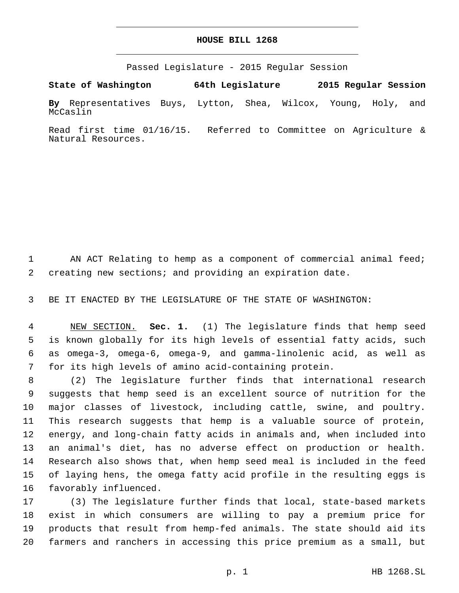# **HOUSE BILL 1268**

Passed Legislature - 2015 Regular Session

**State of Washington 64th Legislature 2015 Regular Session**

**By** Representatives Buys, Lytton, Shea, Wilcox, Young, Holy, and McCaslin

Read first time 01/16/15. Referred to Committee on Agriculture & Natural Resources.

1 AN ACT Relating to hemp as a component of commercial animal feed; creating new sections; and providing an expiration date.

BE IT ENACTED BY THE LEGISLATURE OF THE STATE OF WASHINGTON:

 NEW SECTION. **Sec. 1.** (1) The legislature finds that hemp seed is known globally for its high levels of essential fatty acids, such as omega-3, omega-6, omega-9, and gamma-linolenic acid, as well as for its high levels of amino acid-containing protein.

 (2) The legislature further finds that international research suggests that hemp seed is an excellent source of nutrition for the major classes of livestock, including cattle, swine, and poultry. This research suggests that hemp is a valuable source of protein, energy, and long-chain fatty acids in animals and, when included into an animal's diet, has no adverse effect on production or health. Research also shows that, when hemp seed meal is included in the feed of laying hens, the omega fatty acid profile in the resulting eggs is 16 favorably influenced.

 (3) The legislature further finds that local, state-based markets exist in which consumers are willing to pay a premium price for products that result from hemp-fed animals. The state should aid its farmers and ranchers in accessing this price premium as a small, but